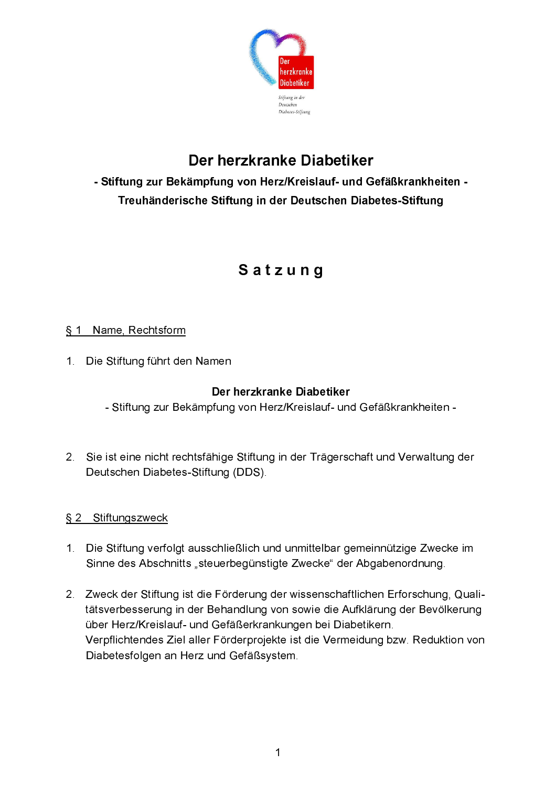

# Der herzkranke Diabetiker

# - Stiftung zur Bekämpfung von Herz/Kreislauf- und Gefäßkrankheiten -Treuhänderische Stiftung in der Deutschen Diabetes-Stiftung

# Satzung

### § 1 Name, Rechtsform

1 Die Stiftung führt den Namen

#### Der herzkranke Diabetiker

- Stiftung zur Bekämpfung von Herz/Kreislauf- und Gefäßkrankheiten -

2. Sie ist eine nicht rechtsfähige Stiftung in der Trägerschaft und Verwaltung der Deutschen Diabetes-Stiftung (DDS).

## § 2 Stiftungszweck

- 1. Die Stiftung verfolgt ausschließlich und unmittelbar gemeinnützige Zwecke im Sinne des Abschnitts "steuerbegünstigte Zwecke" der Abgabenordnung.
- 2. Zweck der Stiftung ist die Förderung der wissenschaftlichen Erforschung, Qualitätsverbesserung in der Behandlung von sowie die Aufklärung der Bevölkerung über Herz/Kreislauf- und Gefäßerkrankungen bei Diabetikern. Verpflichtendes Ziel aller Förderprojekte ist die Vermeidung bzw. Reduktion von Diabetesfolgen an Herz und Gefäßsystem.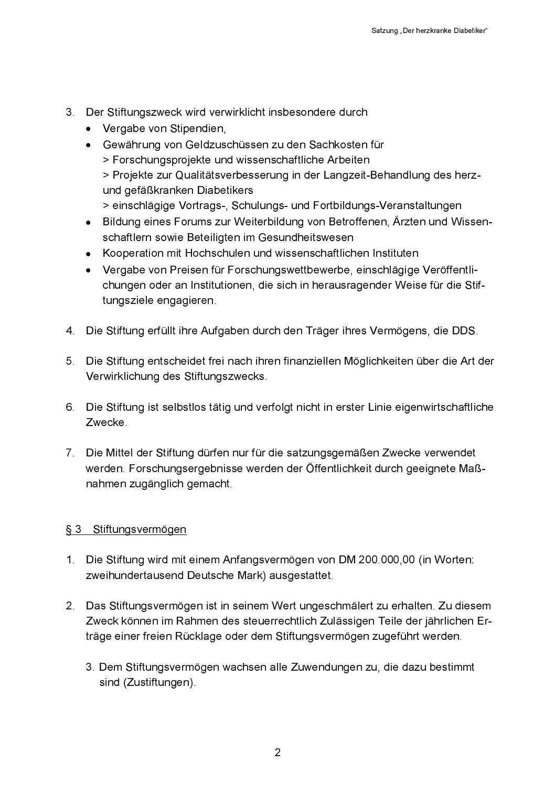- 3. Der Stiftungszweck wird verwirklicht insbesondere durch
	- Vergabe von Stipendien,
	- Gewährung von Geldzuschüssen zu den Sachkosten für > Forschungsprojekte und wissenschaftliche Arbeiten > Projekte zur Qualitätsverbesserung in der Langzeit-Behandlung des herzund gefäßkranken Diabetikers > einschlägige Vortrags-, Schulungs- und Fortbildungs-Veranstaltungen
	- Bildung eines Forums zur Weiterbildung von Betroffenen, Ärzten und Wissen- $\bullet$ schaftlern sowie Beteiligten im Gesundheitswesen
	- Kooperation mit Hochschulen und wissenschaftlichen Instituten
	- Vergabe von Preisen für Forschungswettbewerbe, einschlägige Veröffentli- $\bullet$ chungen oder an Institutionen, die sich in herausragender Weise für die Stiftungsziele engagieren.
- 4. Die Stiftung erfüllt ihre Aufgaben durch den Träger ihres Vermögens, die DDS.
- 5. Die Stiftung entscheidet frei nach ihren finanziellen Möglichkeiten über die Art der Verwirklichung des Stiftungszwecks.
- 6. Die Stiftung ist selbstlos tätig und verfolgt nicht in erster Linie eigenwirtschaftliche Zwecke.
- 7. Die Mittel der Stiftung dürfen nur für die satzungsgemäßen Zwecke verwendet werden. Forschungsergebnisse werden der Öffentlichkeit durch geeignete Maßnahmen zugänglich gemacht.

#### § 3 Stiftungsvermögen

- 1. Die Stiftung wird mit einem Anfangsvermögen von DM 200.000,00 (in Worten: zweihundertausend Deutsche Mark) ausgestattet.
- 2. Das Stiftungsvermögen ist in seinem Wert ungeschmälert zu erhalten. Zu diesem Zweck können im Rahmen des steuerrechtlich Zulässigen Teile der jährlichen Erträge einer freien Rücklage oder dem Stiftungsvermögen zugeführt werden.
	- 3. Dem Stiftungsvermögen wachsen alle Zuwendungen zu, die dazu bestimmt sind (Zustiftungen).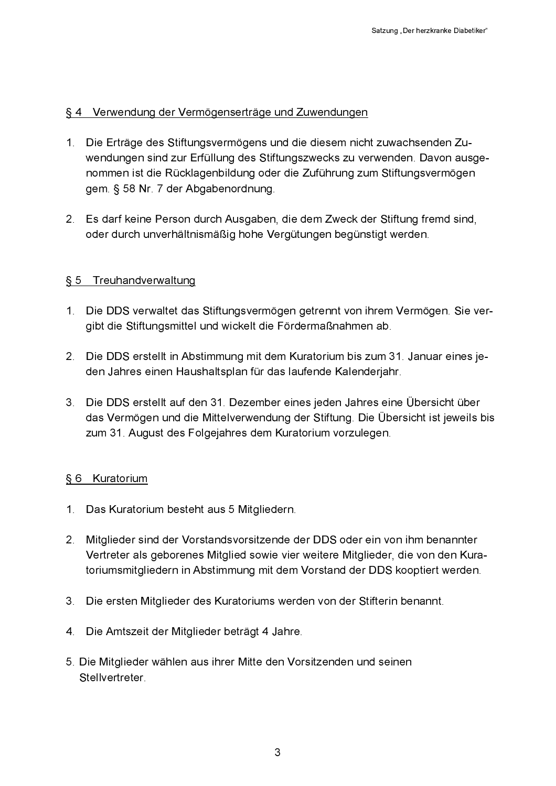#### § 4 Verwendung der Vermögenserträge und Zuwendungen

- 1. Die Erträge des Stiftungsvermögens und die diesem nicht zuwachsenden Zuwendungen sind zur Erfüllung des Stiftungszwecks zu verwenden. Davon ausgenommen ist die Rücklagenbildung oder die Zuführung zum Stiftungsvermögen gem. § 58 Nr. 7 der Abgabenordnung.
- 2. Es darf keine Person durch Ausgaben, die dem Zweck der Stiftung fremd sind, oder durch unverhältnismäßig hohe Vergütungen begünstigt werden.

#### § 5 Treuhandverwaltung

- 1. Die DDS verwaltet das Stiftungsvermögen getrennt von ihrem Vermögen. Sie vergibt die Stiftungsmittel und wickelt die Fördermaßnahmen ab.
- 2. Die DDS erstellt in Abstimmung mit dem Kuratorium bis zum 31. Januar eines jeden Jahres einen Haushaltsplan für das laufende Kalenderjahr.
- 3. Die DDS erstellt auf den 31. Dezember eines jeden Jahres eine Übersicht über das Vermögen und die Mittelverwendung der Stiftung. Die Übersicht ist jeweils bis zum 31. August des Folgejahres dem Kuratorium vorzulegen.

#### § 6 Kuratorium

- 1. Das Kuratorium besteht aus 5 Mitgliedern.
- 2. Mitglieder sind der Vorstandsvorsitzende der DDS oder ein von ihm benannter Vertreter als geborenes Mitglied sowie vier weitere Mitglieder, die von den Kuratoriumsmitgliedern in Abstimmung mit dem Vorstand der DDS kooptiert werden.
- 3. Die ersten Mitglieder des Kuratoriums werden von der Stifterin benannt.
- 4. Die Amtszeit der Mitglieder beträgt 4 Jahre.
- 5. Die Mitglieder wählen aus ihrer Mitte den Vorsitzenden und seinen Stellvertreter.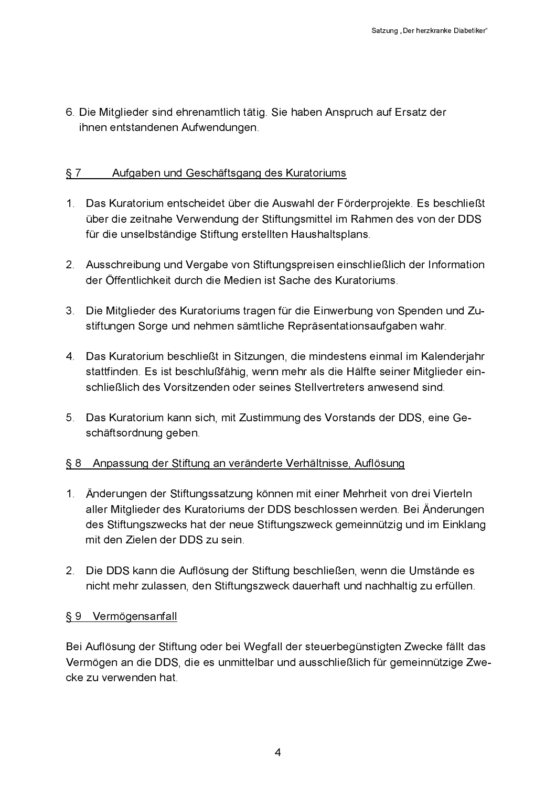6. Die Mitglieder sind ehrenamtlich tätig. Sie haben Anspruch auf Ersatz der ihnen entstandenen Aufwendungen.

#### $§ 7$ Aufgaben und Geschäftsgang des Kuratoriums

- 1. Das Kuratorium entscheidet über die Auswahl der Förderprojekte. Es beschließt über die zeitnahe Verwendung der Stiftungsmittel im Rahmen des von der DDS für die unselbständige Stiftung erstellten Haushaltsplans.
- 2. Ausschreibung und Vergabe von Stiftungspreisen einschließlich der Information der Öffentlichkeit durch die Medien ist Sache des Kuratoriums.
- 3. Die Mitglieder des Kuratoriums tragen für die Einwerbung von Spenden und Zustiftungen Sorge und nehmen sämtliche Repräsentationsaufgaben wahr.
- 4. Das Kuratorium beschließt in Sitzungen, die mindestens einmal im Kalenderjahr stattfinden. Es ist beschlußfähig, wenn mehr als die Hälfte seiner Mitglieder einschließlich des Vorsitzenden oder seines Stellvertreters anwesend sind.
- 5. Das Kuratorium kann sich, mit Zustimmung des Vorstands der DDS, eine Geschäftsordnung geben.

## § 8 Anpassung der Stiftung an veränderte Verhältnisse, Auflösung

- 1. Änderungen der Stiftungssatzung können mit einer Mehrheit von drei Vierteln aller Mitglieder des Kuratoriums der DDS beschlossen werden. Bei Änderungen des Stiftungszwecks hat der neue Stiftungszweck gemeinnützig und im Einklang mit den Zielen der DDS zu sein.
- 2. Die DDS kann die Auflösung der Stiftung beschließen, wenn die Umstände es nicht mehr zulassen, den Stiftungszweck dauerhaft und nachhaltig zu erfüllen.

#### § 9 Vermögensanfall

Bei Auflösung der Stiftung oder bei Wegfall der steuerbegünstigten Zwecke fällt das Vermögen an die DDS, die es unmittelbar und ausschließlich für gemeinnützige Zwecke zu verwenden hat